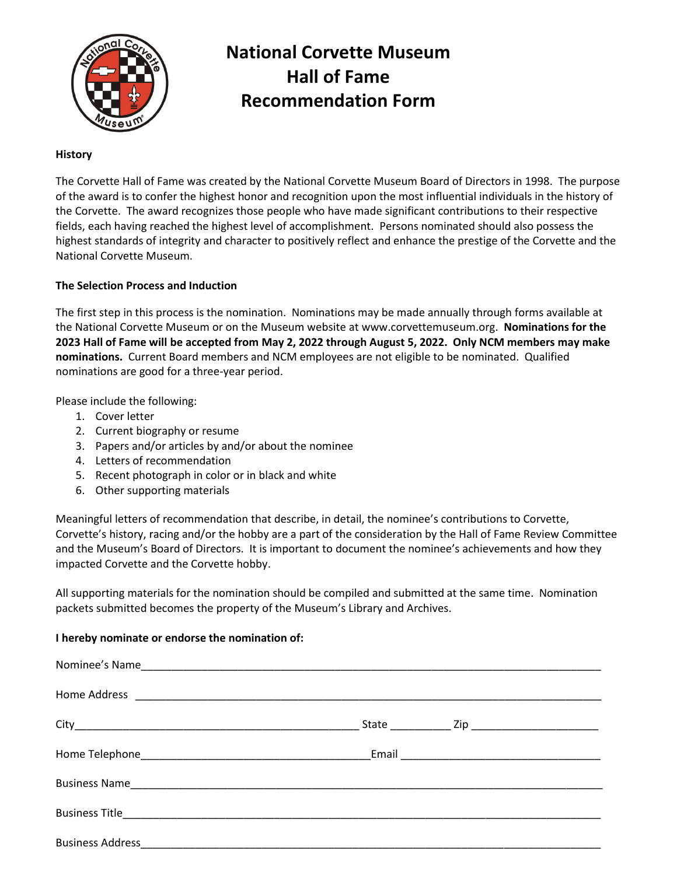

# **National Corvette Museum Hall of Fame Recommendation Form**

#### **History**

The Corvette Hall of Fame was created by the National Corvette Museum Board of Directors in 1998. The purpose of the award is to confer the highest honor and recognition upon the most influential individuals in the history of the Corvette. The award recognizes those people who have made significant contributions to their respective fields, each having reached the highest level of accomplishment. Persons nominated should also possess the highest standards of integrity and character to positively reflect and enhance the prestige of the Corvette and the National Corvette Museum.

### **The Selection Process and Induction**

The first step in this process is the nomination. Nominations may be made annually through forms available at the National Corvette Museum or on the Museum website at www.corvettemuseum.org. **Nominations for the 2023 Hall of Fame will be accepted from May 2, 2022 through August 5, 2022. Only NCM members may make nominations.** Current Board members and NCM employees are not eligible to be nominated. Qualified nominations are good for a three-year period.

Please include the following:

- 1. Cover letter
- 2. Current biography or resume
- 3. Papers and/or articles by and/or about the nominee
- 4. Letters of recommendation
- 5. Recent photograph in color or in black and white
- 6. Other supporting materials

Meaningful letters of recommendation that describe, in detail, the nominee's contributions to Corvette, Corvette's history, racing and/or the hobby are a part of the consideration by the Hall of Fame Review Committee and the Museum's Board of Directors. It is important to document the nominee's achievements and how they impacted Corvette and the Corvette hobby.

All supporting materials for the nomination should be compiled and submitted at the same time. Nomination packets submitted becomes the property of the Museum's Library and Archives.

#### **I hereby nominate or endorse the nomination of:**